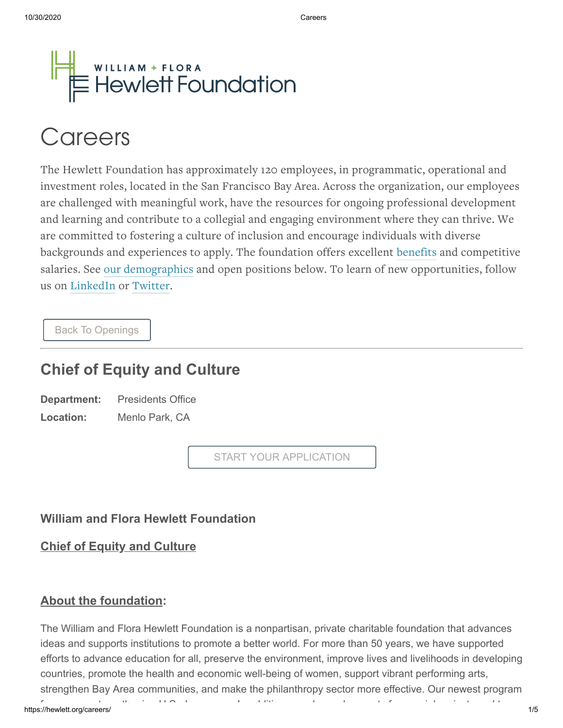

# **Careers**

The Hewlett Foundation has approximately 120 employees, in programmatic, operational and investment roles, located in the San Francisco Bay Area. Across the organization, our employees are challenged with meaningful work, have the resources for ongoing professional development and learning and contribute to a collegial and engaging environment where they can thrive. We are committed to fostering a culture of inclusion and encourage individuals with diverse backgrounds and experiences to apply. The foundation offers excellent [benefits](https://hewlett.org/wp-content/uploads/2019/11/Hewlett-Foundation-2020-Benefit-Brochure.pdf) and competitive salaries. See our [demographics](http://www.hewlett.org/careers/demographics/) and open positions below. To learn of new opportunities, follow us on [LinkedIn](https://www.linkedin.com/company/the-william-and-flora-hewlett-foundation) or [Twitter.](http://twitter.com/Hewlett_Found)

[Back To Openings](https://hewlett.hrmdirect.com/employment/job-openings.php?search=true&nohd=&dept=-1&city=-1&state=-1)

## **Chief of Equity and Culture**

| Department: | <b>Presidents Office</b> |
|-------------|--------------------------|
| Location:   | Menlo Park, CA           |

START YOUR APPLICATION

### **William and Flora Hewlett Foundation**

**Chief of Equity and Culture**

### **About the foundation:**

The William and Flora Hewlett Foundation is a nonpartisan, private charitable foundation that advances ideas and supports institutions to promote a better world. For more than 50 years, we have supported efforts to advance education for all, preserve the environment, improve lives and livelihoods in developing countries, promote the health and economic well-being of women, support vibrant performing arts, strengthen Bay Area communities, and make the philanthropy sector more effective. Our newest program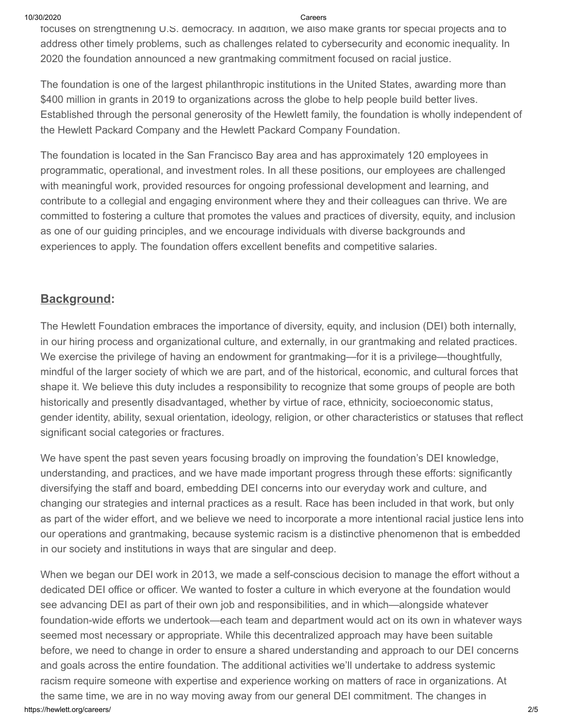10/30/2020 Careers

focuses on strengthening U.S. democracy. In addition, we also make grants for special projects and to address other timely problems, such as challenges related to cybersecurity and economic inequality. In 2020 the foundation announced a new grantmaking commitment focused on racial justice.

The foundation is one of the largest philanthropic institutions in the United States, awarding more than \$400 million in grants in 2019 to organizations across the globe to help people build better lives. Established through the personal generosity of the Hewlett family, the foundation is wholly independent of the Hewlett Packard Company and the Hewlett Packard Company Foundation.

The foundation is located in the San Francisco Bay area and has approximately 120 employees in programmatic, operational, and investment roles. In all these positions, our employees are challenged with meaningful work, provided resources for ongoing professional development and learning, and contribute to a collegial and engaging environment where they and their colleagues can thrive. We are committed to fostering a culture that promotes the values and practices of diversity, equity, and inclusion as one of our guiding principles, and we encourage individuals with diverse backgrounds and experiences to apply. The foundation offers excellent benefits and competitive salaries.

### **Background:**

The Hewlett Foundation embraces the importance of diversity, equity, and inclusion (DEI) both internally, in our hiring process and organizational culture, and externally, in our grantmaking and related practices. We exercise the privilege of having an endowment for grantmaking—for it is a privilege—thoughtfully, mindful of the larger society of which we are part, and of the historical, economic, and cultural forces that shape it. We believe this duty includes a responsibility to recognize that some groups of people are both historically and presently disadvantaged, whether by virtue of race, ethnicity, socioeconomic status, gender identity, ability, sexual orientation, ideology, religion, or other characteristics or statuses that reflect significant social categories or fractures.

We have spent the past seven years focusing broadly on improving the foundation's DEI knowledge, understanding, and practices, and we have made important progress through these efforts: significantly diversifying the staff and board, embedding DEI concerns into our everyday work and culture, and changing our strategies and internal practices as a result. Race has been included in that work, but only as part of the wider effort, and we believe we need to incorporate a more intentional racial justice lens into our operations and grantmaking, because systemic racism is a distinctive phenomenon that is embedded in our society and institutions in ways that are singular and deep.

https://hewlett.org/careers/ 2/5 When we began our DEI work in 2013, we made a self-conscious decision to manage the effort without a dedicated DEI office or officer. We wanted to foster a culture in which everyone at the foundation would see advancing DEI as part of their own job and responsibilities, and in which—alongside whatever foundation-wide efforts we undertook—each team and department would act on its own in whatever ways seemed most necessary or appropriate. While this decentralized approach may have been suitable before, we need to change in order to ensure a shared understanding and approach to our DEI concerns and goals across the entire foundation. The additional activities we'll undertake to address systemic racism require someone with expertise and experience working on matters of race in organizations. At the same time, we are in no way moving away from our general DEI commitment. The changes in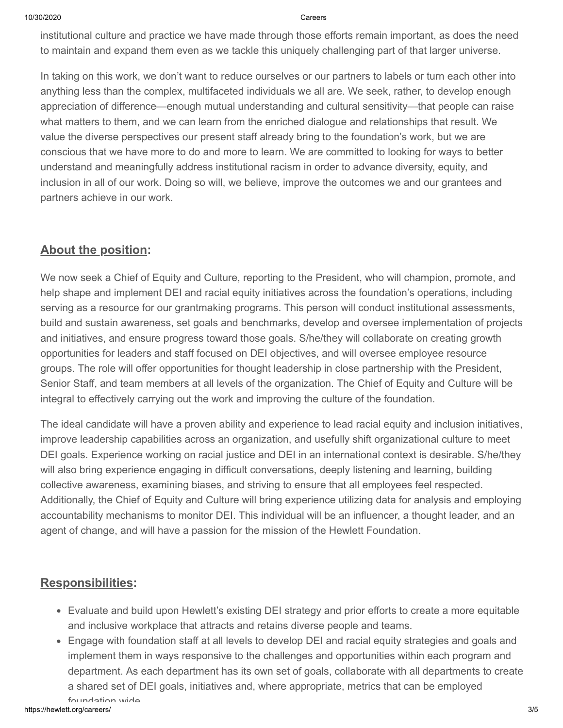10/30/2020 Careers

institutional culture and practice we have made through those efforts remain important, as does the need to maintain and expand them even as we tackle this uniquely challenging part of that larger universe.

In taking on this work, we don't want to reduce ourselves or our partners to labels or turn each other into anything less than the complex, multifaceted individuals we all are. We seek, rather, to develop enough appreciation of difference—enough mutual understanding and cultural sensitivity—that people can raise what matters to them, and we can learn from the enriched dialogue and relationships that result. We value the diverse perspectives our present staff already bring to the foundation's work, but we are conscious that we have more to do and more to learn. We are committed to looking for ways to better understand and meaningfully address institutional racism in order to advance diversity, equity, and inclusion in all of our work. Doing so will, we believe, improve the outcomes we and our grantees and partners achieve in our work.

### **About the position:**

We now seek a Chief of Equity and Culture, reporting to the President, who will champion, promote, and help shape and implement DEI and racial equity initiatives across the foundation's operations, including serving as a resource for our grantmaking programs. This person will conduct institutional assessments, build and sustain awareness, set goals and benchmarks, develop and oversee implementation of projects and initiatives, and ensure progress toward those goals. S/he/they will collaborate on creating growth opportunities for leaders and staff focused on DEI objectives, and will oversee employee resource groups. The role will offer opportunities for thought leadership in close partnership with the President, Senior Staff, and team members at all levels of the organization. The Chief of Equity and Culture will be integral to effectively carrying out the work and improving the culture of the foundation.

The ideal candidate will have a proven ability and experience to lead racial equity and inclusion initiatives, improve leadership capabilities across an organization, and usefully shift organizational culture to meet DEI goals. Experience working on racial justice and DEI in an international context is desirable. S/he/they will also bring experience engaging in difficult conversations, deeply listening and learning, building collective awareness, examining biases, and striving to ensure that all employees feel respected. Additionally, the Chief of Equity and Culture will bring experience utilizing data for analysis and employing accountability mechanisms to monitor DEI. This individual will be an influencer, a thought leader, and an agent of change, and will have a passion for the mission of the Hewlett Foundation.

### **Responsibilities:**

- Evaluate and build upon Hewlett's existing DEI strategy and prior efforts to create a more equitable and inclusive workplace that attracts and retains diverse people and teams.
- Engage with foundation staff at all levels to develop DEI and racial equity strategies and goals and implement them in ways responsive to the challenges and opportunities within each program and department. As each department has its own set of goals, collaborate with all departments to create a shared set of DEI goals, initiatives and, where appropriate, metrics that can be employed foundation wide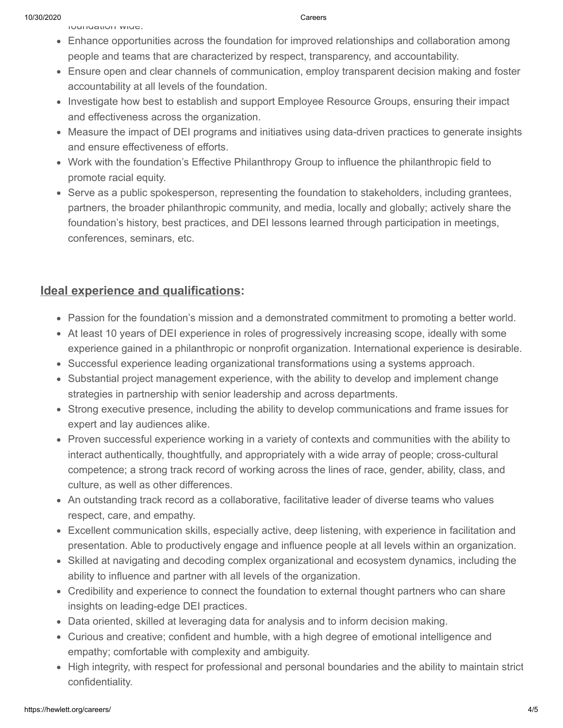foundation wide.

- Enhance opportunities across the foundation for improved relationships and collaboration among people and teams that are characterized by respect, transparency, and accountability.
- Ensure open and clear channels of communication, employ transparent decision making and foster accountability at all levels of the foundation.
- Investigate how best to establish and support Employee Resource Groups, ensuring their impact and effectiveness across the organization.
- Measure the impact of DEI programs and initiatives using data-driven practices to generate insights and ensure effectiveness of efforts.
- Work with the foundation's Effective Philanthropy Group to influence the philanthropic field to promote racial equity.
- Serve as a public spokesperson, representing the foundation to stakeholders, including grantees, partners, the broader philanthropic community, and media, locally and globally; actively share the foundation's history, best practices, and DEI lessons learned through participation in meetings, conferences, seminars, etc.

### **Ideal experience and qualifications:**

- Passion for the foundation's mission and a demonstrated commitment to promoting a better world.
- At least 10 years of DEI experience in roles of progressively increasing scope, ideally with some experience gained in a philanthropic or nonprofit organization. International experience is desirable.
- Successful experience leading organizational transformations using a systems approach.
- Substantial project management experience, with the ability to develop and implement change strategies in partnership with senior leadership and across departments.
- Strong executive presence, including the ability to develop communications and frame issues for expert and lay audiences alike.
- Proven successful experience working in a variety of contexts and communities with the ability to interact authentically, thoughtfully, and appropriately with a wide array of people; cross-cultural competence; a strong track record of working across the lines of race, gender, ability, class, and culture, as well as other differences.
- An outstanding track record as a collaborative, facilitative leader of diverse teams who values respect, care, and empathy.
- Excellent communication skills, especially active, deep listening, with experience in facilitation and presentation. Able to productively engage and influence people at all levels within an organization.
- Skilled at navigating and decoding complex organizational and ecosystem dynamics, including the ability to influence and partner with all levels of the organization.
- Credibility and experience to connect the foundation to external thought partners who can share insights on leading-edge DEI practices.
- Data oriented, skilled at leveraging data for analysis and to inform decision making.
- Curious and creative; confident and humble, with a high degree of emotional intelligence and empathy; comfortable with complexity and ambiguity.
- High integrity, with respect for professional and personal boundaries and the ability to maintain strict confidentiality.